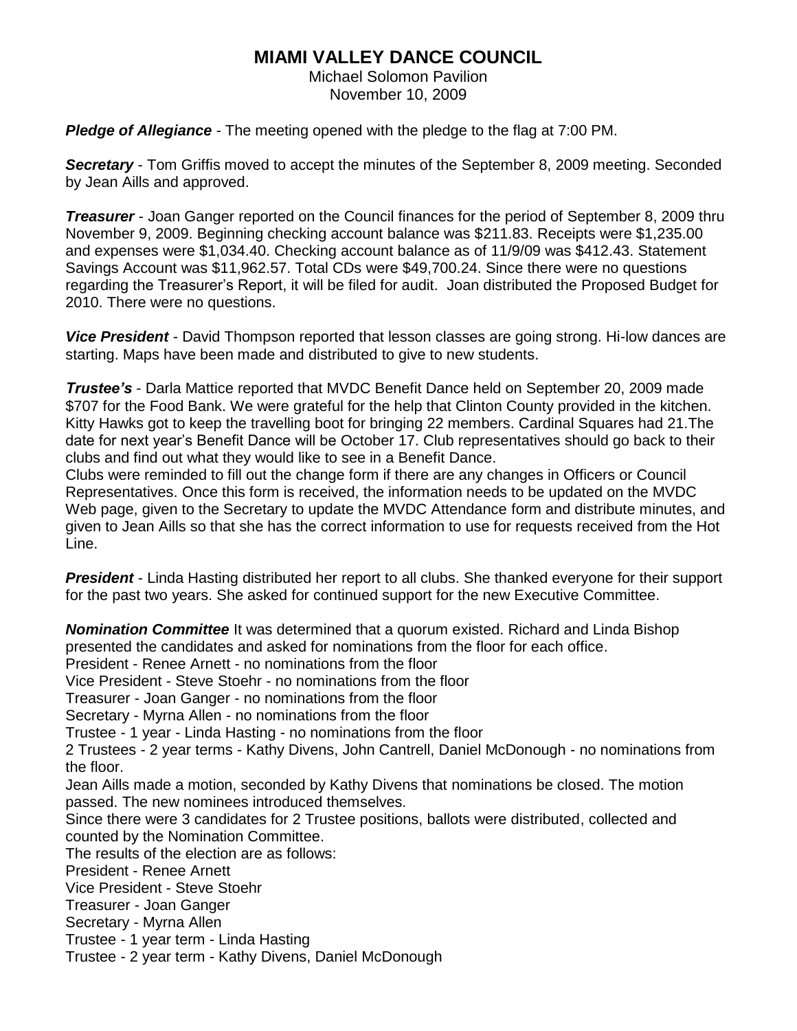## **MIAMI VALLEY DANCE COUNCIL**

Michael Solomon Pavilion November 10, 2009

*Pledge of Allegiance* - The meeting opened with the pledge to the flag at 7:00 PM.

**Secretary** - Tom Griffis moved to accept the minutes of the September 8, 2009 meeting. Seconded by Jean Aills and approved.

*Treasurer* - Joan Ganger reported on the Council finances for the period of September 8, 2009 thru November 9, 2009. Beginning checking account balance was \$211.83. Receipts were \$1,235.00 and expenses were \$1,034.40. Checking account balance as of 11/9/09 was \$412.43. Statement Savings Account was \$11,962.57. Total CDs were \$49,700.24. Since there were no questions regarding the Treasurer's Report, it will be filed for audit. Joan distributed the Proposed Budget for 2010. There were no questions.

*Vice President* - David Thompson reported that lesson classes are going strong. Hi-low dances are starting. Maps have been made and distributed to give to new students.

*Trustee's* - Darla Mattice reported that MVDC Benefit Dance held on September 20, 2009 made \$707 for the Food Bank. We were grateful for the help that Clinton County provided in the kitchen. Kitty Hawks got to keep the travelling boot for bringing 22 members. Cardinal Squares had 21.The date for next year's Benefit Dance will be October 17. Club representatives should go back to their clubs and find out what they would like to see in a Benefit Dance.

Clubs were reminded to fill out the change form if there are any changes in Officers or Council Representatives. Once this form is received, the information needs to be updated on the MVDC Web page, given to the Secretary to update the MVDC Attendance form and distribute minutes, and given to Jean Aills so that she has the correct information to use for requests received from the Hot Line.

*President* - Linda Hasting distributed her report to all clubs. She thanked everyone for their support for the past two years. She asked for continued support for the new Executive Committee.

*Nomination Committee* It was determined that a quorum existed. Richard and Linda Bishop presented the candidates and asked for nominations from the floor for each office. President - Renee Arnett - no nominations from the floor Vice President - Steve Stoehr - no nominations from the floor Treasurer - Joan Ganger - no nominations from the floor Secretary - Myrna Allen - no nominations from the floor Trustee - 1 year - Linda Hasting - no nominations from the floor 2 Trustees - 2 year terms - Kathy Divens, John Cantrell, Daniel McDonough - no nominations from the floor. Jean Aills made a motion, seconded by Kathy Divens that nominations be closed. The motion passed. The new nominees introduced themselves. Since there were 3 candidates for 2 Trustee positions, ballots were distributed, collected and counted by the Nomination Committee. The results of the election are as follows: President - Renee Arnett Vice President - Steve Stoehr Treasurer - Joan Ganger Secretary - Myrna Allen Trustee - 1 year term - Linda Hasting Trustee - 2 year term - Kathy Divens, Daniel McDonough